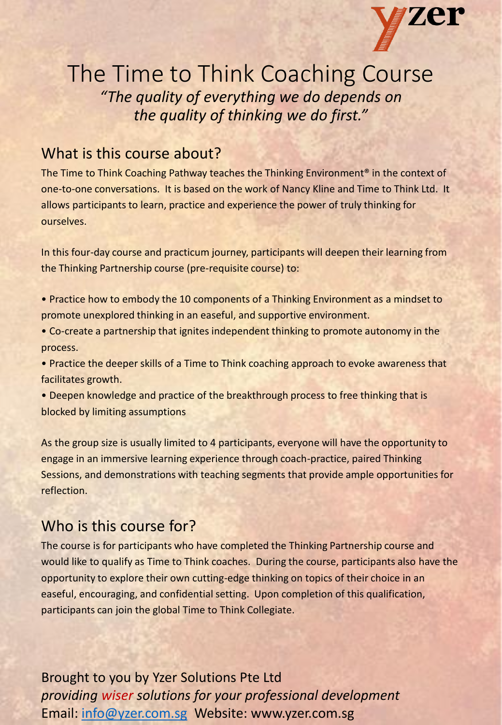

# The Time to Think Coaching Course *"The quality of everything we do depends on the quality of thinking we do first."*

# What is this course about?

The Time to Think Coaching Pathway teaches the Thinking Environment<sup>®</sup> in the context of one-to-one conversations. It is based on the work of Nancy Kline and Time to Think Ltd. It allows participants to learn, practice and experience the power of truly thinking for ourselves.

In this four-day course and practicum journey, participants will deepen their learning from the Thinking Partnership course (pre-requisite course) to:

- Practice how to embody the 10 components of a Thinking Environment as a mindset to promote unexplored thinking in an easeful, and supportive environment.
- Co-create a partnership that ignites independent thinking to promote autonomy in the process.

• Practice the deeper skills of a Time to Think coaching approach to evoke awareness that facilitates growth.

• Deepen knowledge and practice of the breakthrough process to free thinking that is blocked by limiting assumptions

As the group size is usually limited to 4 participants, everyone will have the opportunity to engage in an immersive learning experience through coach-practice, paired Thinking Sessions, and demonstrations with teaching segments that provide ample opportunities for reflection.

## Who is this course for?

The course is for participants who have completed the Thinking Partnership course and would like to qualify as Time to Think coaches. During the course, participants also have the opportunity to explore their own cutting-edge thinking on topics of their choice in an easeful, encouraging, and confidential setting. Upon completion of this qualification, participants can join the global Time to Think Collegiate.

Brought to you by Yzer Solutions Pte Ltd *providing wiser solutions for your professional development*  Email: [info@yzer.com.sg](mailto:info@yzer.com.sg) Website: www.yzer.com.sg